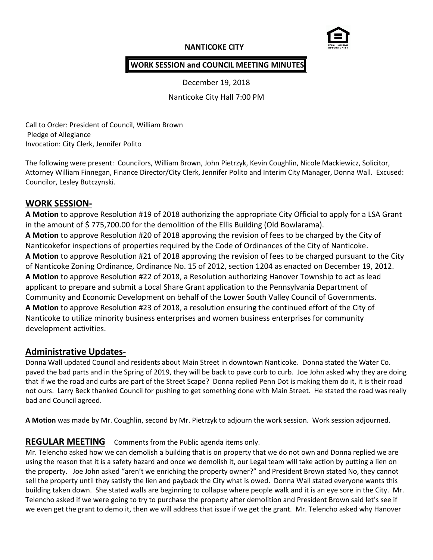## **NANTICOKE CITY**



### **WORK SESSION and COUNCIL MEETING MINUTES**

December 19, 2018

Nanticoke City Hall 7:00 PM

Call to Order: President of Council, William Brown Pledge of Allegiance Invocation: City Clerk, Jennifer Polito

The following were present: Councilors, William Brown, John Pietrzyk, Kevin Coughlin, Nicole Mackiewicz, Solicitor, Attorney William Finnegan, Finance Director/City Clerk, Jennifer Polito and Interim City Manager, Donna Wall. Excused: Councilor, Lesley Butczynski.

#### **WORK SESSION-**

**A Motion** to approve Resolution #19 of 2018 authorizing the appropriate City Official to apply for a LSA Grant in the amount of \$ 775,700.00 for the demolition of the Ellis Building (Old Bowlarama). **A Motion** to approve Resolution #20 of 2018 approving the revision of fees to be charged by the City of Nanticokefor inspections of properties required by the Code of Ordinances of the City of Nanticoke. **A Motion** to approve Resolution #21 of 2018 approving the revision of fees to be charged pursuant to the City of Nanticoke Zoning Ordinance, Ordinance No. 15 of 2012, section 1204 as enacted on December 19, 2012. **A Motion** to approve Resolution #22 of 2018, a Resolution authorizing Hanover Township to act as lead applicant to prepare and submit a Local Share Grant application to the Pennsylvania Department of Community and Economic Development on behalf of the Lower South Valley Council of Governments. **A Motion** to approve Resolution #23 of 2018, a resolution ensuring the continued effort of the City of Nanticoke to utilize minority business enterprises and women business enterprises for community development activities.

# **Administrative Updates-**

Donna Wall updated Council and residents about Main Street in downtown Nanticoke. Donna stated the Water Co. paved the bad parts and in the Spring of 2019, they will be back to pave curb to curb. Joe John asked why they are doing that if we the road and curbs are part of the Street Scape? Donna replied Penn Dot is making them do it, it is their road not ours. Larry Beck thanked Council for pushing to get something done with Main Street. He stated the road was really bad and Council agreed.

**A Motion** was made by Mr. Coughlin, second by Mr. Pietrzyk to adjourn the work session. Work session adjourned.

## **REGULAR MEETING** Comments from the Public agenda items only.

Mr. Telencho asked how we can demolish a building that is on property that we do not own and Donna replied we are using the reason that it is a safety hazard and once we demolish it, our Legal team will take action by putting a lien on the property. Joe John asked "aren't we enriching the property owner?" and President Brown stated No, they cannot sell the property until they satisfy the lien and payback the City what is owed. Donna Wall stated everyone wants this building taken down. She stated walls are beginning to collapse where people walk and it is an eye sore in the City. Mr. Telencho asked if we were going to try to purchase the property after demolition and President Brown said let's see if we even get the grant to demo it, then we will address that issue if we get the grant. Mr. Telencho asked why Hanover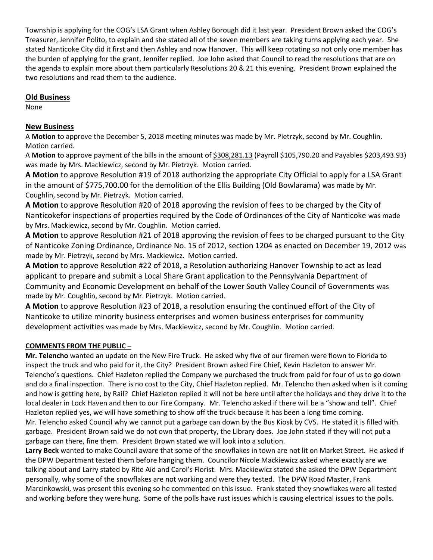Township is applying for the COG's LSA Grant when Ashley Borough did it last year. President Brown asked the COG's Treasurer, Jennifer Polito, to explain and she stated all of the seven members are taking turns applying each year. She stated Nanticoke City did it first and then Ashley and now Hanover. This will keep rotating so not only one member has the burden of applying for the grant, Jennifer replied. Joe John asked that Council to read the resolutions that are on the agenda to explain more about them particularly Resolutions 20 & 21 this evening. President Brown explained the two resolutions and read them to the audience.

## **Old Business**

None

# **New Business**

A **Motion** to approve the December 5, 2018 meeting minutes was made by Mr. Pietrzyk, second by Mr. Coughlin. Motion carried.

A Motion to approve payment of the bills in the amount of \$308,281.13 (Payroll \$105,790.20 and Payables \$203,493.93) was made by Mrs. Mackiewicz, second by Mr. Pietrzyk. Motion carried.

**A Motion** to approve Resolution #19 of 2018 authorizing the appropriate City Official to apply for a LSA Grant in the amount of \$775,700.00 for the demolition of the Ellis Building (Old Bowlarama) was made by Mr. Coughlin, second by Mr. Pietrzyk. Motion carried.

**A Motion** to approve Resolution #20 of 2018 approving the revision of fees to be charged by the City of Nanticokefor inspections of properties required by the Code of Ordinances of the City of Nanticoke was made by Mrs. Mackiewicz, second by Mr. Coughlin. Motion carried.

**A Motion** to approve Resolution #21 of 2018 approving the revision of fees to be charged pursuant to the City of Nanticoke Zoning Ordinance, Ordinance No. 15 of 2012, section 1204 as enacted on December 19, 2012 was made by Mr. Pietrzyk, second by Mrs. Mackiewicz. Motion carried.

**A Motion** to approve Resolution #22 of 2018, a Resolution authorizing Hanover Township to act as lead applicant to prepare and submit a Local Share Grant application to the Pennsylvania Department of Community and Economic Development on behalf of the Lower South Valley Council of Governments was made by Mr. Coughlin, second by Mr. Pietrzyk. Motion carried.

**A Motion** to approve Resolution #23 of 2018, a resolution ensuring the continued effort of the City of Nanticoke to utilize minority business enterprises and women business enterprises for community development activities was made by Mrs. Mackiewicz, second by Mr. Coughlin. Motion carried.

## **COMMENTS FROM THE PUBLIC –**

**Mr. Telencho** wanted an update on the New Fire Truck. He asked why five of our firemen were flown to Florida to inspect the truck and who paid for it, the City? President Brown asked Fire Chief, Kevin Hazleton to answer Mr. Telencho's questions. Chief Hazleton replied the Company we purchased the truck from paid for four of us to go down and do a final inspection. There is no cost to the City, Chief Hazleton replied. Mr. Telencho then asked when is it coming and how is getting here, by Rail? Chief Hazleton replied it will not be here until after the holidays and they drive it to the local dealer in Lock Haven and then to our Fire Company. Mr. Telencho asked if there will be a "show and tell". Chief Hazleton replied yes, we will have something to show off the truck because it has been a long time coming. Mr. Telencho asked Council why we cannot put a garbage can down by the Bus Kiosk by CVS. He stated it is filled with garbage. President Brown said we do not own that property, the Library does. Joe John stated if they will not put a garbage can there, fine them. President Brown stated we will look into a solution.

**Larry Beck** wanted to make Council aware that some of the snowflakes in town are not lit on Market Street. He asked if the DPW Department tested them before hanging them. Councilor Nicole Mackiewicz asked where exactly are we talking about and Larry stated by Rite Aid and Carol's Florist. Mrs. Mackiewicz stated she asked the DPW Department personally, why some of the snowflakes are not working and were they tested. The DPW Road Master, Frank Marcinkowski, was present this evening so he commented on this issue. Frank stated they snowflakes were all tested and working before they were hung. Some of the polls have rust issues which is causing electrical issues to the polls.